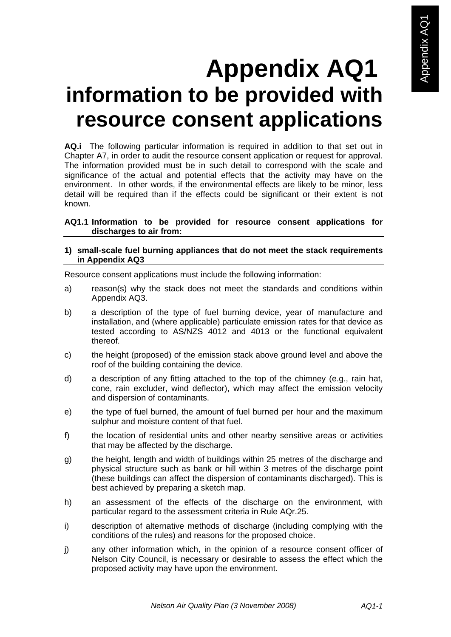# **Appendix AQ1 information to be provided with resource consent applications**

**AQ.i** The following particular information is required in addition to that set out in Chapter A7, in order to audit the resource consent application or request for approval. The information provided must be in such detail to correspond with the scale and significance of the actual and potential effects that the activity may have on the environment. In other words, if the environmental effects are likely to be minor, less detail will be required than if the effects could be significant or their extent is not known.

# **AQ1.1 Information to be provided for resource consent applications for discharges to air from:**

### **1) small-scale fuel burning appliances that do not meet the stack requirements in Appendix AQ3**

Resource consent applications must include the following information:

- a) reason(s) why the stack does not meet the standards and conditions within Appendix AQ3.
- b) a description of the type of fuel burning device, year of manufacture and installation, and (where applicable) particulate emission rates for that device as tested according to AS/NZS 4012 and 4013 or the functional equivalent thereof.
- c) the height (proposed) of the emission stack above ground level and above the roof of the building containing the device.
- d) a description of any fitting attached to the top of the chimney (e.g., rain hat, cone, rain excluder, wind deflector), which may affect the emission velocity and dispersion of contaminants.
- e) the type of fuel burned, the amount of fuel burned per hour and the maximum sulphur and moisture content of that fuel.
- f) the location of residential units and other nearby sensitive areas or activities that may be affected by the discharge.
- g) the height, length and width of buildings within 25 metres of the discharge and physical structure such as bank or hill within 3 metres of the discharge point (these buildings can affect the dispersion of contaminants discharged). This is best achieved by preparing a sketch map.
- h) an assessment of the effects of the discharge on the environment, with particular regard to the assessment criteria in Rule AQr.25.
- i) description of alternative methods of discharge (including complying with the conditions of the rules) and reasons for the proposed choice.
- j) any other information which, in the opinion of a resource consent officer of Nelson City Council, is necessary or desirable to assess the effect which the proposed activity may have upon the environment.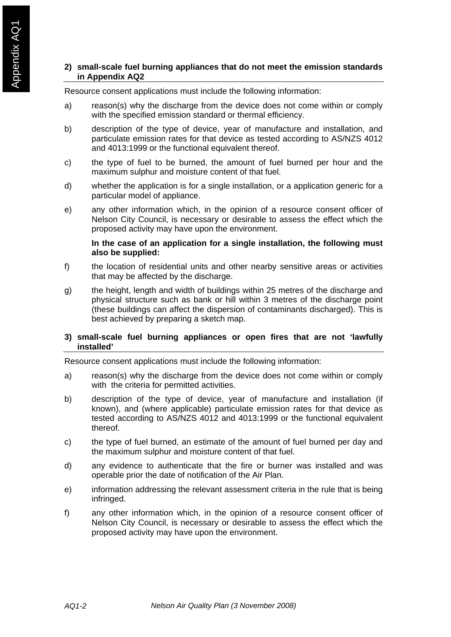# **2) small-scale fuel burning appliances that do not meet the emission standards in Appendix AQ2**

Resource consent applications must include the following information:

- a) reason(s) why the discharge from the device does not come within or comply with the specified emission standard or thermal efficiency.
- b) description of the type of device, year of manufacture and installation, and particulate emission rates for that device as tested according to AS/NZS 4012 and 4013:1999 or the functional equivalent thereof.
- c) the type of fuel to be burned, the amount of fuel burned per hour and the maximum sulphur and moisture content of that fuel.
- d) whether the application is for a single installation, or a application generic for a particular model of appliance.
- e) any other information which, in the opinion of a resource consent officer of Nelson City Council, is necessary or desirable to assess the effect which the proposed activity may have upon the environment.

#### **In the case of an application for a single installation, the following must also be supplied:**

- f) the location of residential units and other nearby sensitive areas or activities that may be affected by the discharge.
- g) the height, length and width of buildings within 25 metres of the discharge and physical structure such as bank or hill within 3 metres of the discharge point (these buildings can affect the dispersion of contaminants discharged). This is best achieved by preparing a sketch map.

#### **3) small-scale fuel burning appliances or open fires that are not 'lawfully installed'**

Resource consent applications must include the following information:

- a) reason(s) why the discharge from the device does not come within or comply with the criteria for permitted activities.
- b) description of the type of device, year of manufacture and installation (if known), and (where applicable) particulate emission rates for that device as tested according to AS/NZS 4012 and 4013:1999 or the functional equivalent thereof.
- c) the type of fuel burned, an estimate of the amount of fuel burned per day and the maximum sulphur and moisture content of that fuel.
- d) any evidence to authenticate that the fire or burner was installed and was operable prior the date of notification of the Air Plan.
- e) information addressing the relevant assessment criteria in the rule that is being infringed.
- f) any other information which, in the opinion of a resource consent officer of Nelson City Council, is necessary or desirable to assess the effect which the proposed activity may have upon the environment.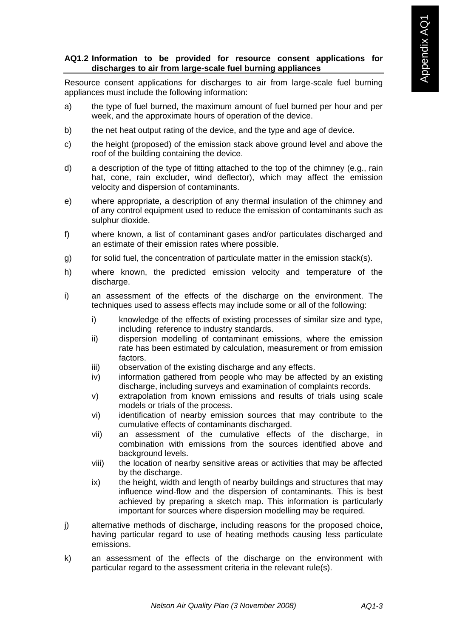# **AQ1.2 Information to be provided for resource consent applications for discharges to air from large-scale fuel burning appliances**

Resource consent applications for discharges to air from large-scale fuel burning appliances must include the following information:

- a) the type of fuel burned, the maximum amount of fuel burned per hour and per week, and the approximate hours of operation of the device.
- b) the net heat output rating of the device, and the type and age of device.
- c) the height (proposed) of the emission stack above ground level and above the roof of the building containing the device.
- d) a description of the type of fitting attached to the top of the chimney (e.g., rain hat, cone, rain excluder, wind deflector), which may affect the emission velocity and dispersion of contaminants.
- e) where appropriate, a description of any thermal insulation of the chimney and of any control equipment used to reduce the emission of contaminants such as sulphur dioxide.
- f) where known, a list of contaminant gases and/or particulates discharged and an estimate of their emission rates where possible.
- g) for solid fuel, the concentration of particulate matter in the emission stack(s).
- h) where known, the predicted emission velocity and temperature of the discharge.
- i) an assessment of the effects of the discharge on the environment. The techniques used to assess effects may include some or all of the following:
	- i) knowledge of the effects of existing processes of similar size and type, including reference to industry standards.
	- ii) dispersion modelling of contaminant emissions, where the emission rate has been estimated by calculation, measurement or from emission factors.
	- iii) observation of the existing discharge and any effects.
	- iv) information gathered from people who may be affected by an existing discharge, including surveys and examination of complaints records.
	- v) extrapolation from known emissions and results of trials using scale models or trials of the process.
	- vi) identification of nearby emission sources that may contribute to the cumulative effects of contaminants discharged.
	- vii) an assessment of the cumulative effects of the discharge, in combination with emissions from the sources identified above and background levels.
	- viii) the location of nearby sensitive areas or activities that may be affected by the discharge.
	- ix) the height, width and length of nearby buildings and structures that may influence wind-flow and the dispersion of contaminants. This is best achieved by preparing a sketch map. This information is particularly important for sources where dispersion modelling may be required.
- j) alternative methods of discharge, including reasons for the proposed choice, having particular regard to use of heating methods causing less particulate emissions.
- k) an assessment of the effects of the discharge on the environment with particular regard to the assessment criteria in the relevant rule(s).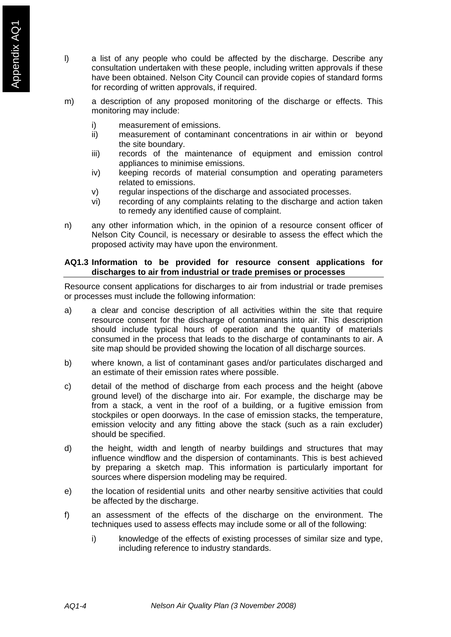- l) a list of any people who could be affected by the discharge. Describe any consultation undertaken with these people, including written approvals if these have been obtained. Nelson City Council can provide copies of standard forms for recording of written approvals, if required.
- m) a description of any proposed monitoring of the discharge or effects. This monitoring may include:
	- i) measurement of emissions.
	- ii) measurement of contaminant concentrations in air within or beyond the site boundary.
	- iii) records of the maintenance of equipment and emission control appliances to minimise emissions.
	- iv) keeping records of material consumption and operating parameters related to emissions.
	- v) regular inspections of the discharge and associated processes.
	- vi) recording of any complaints relating to the discharge and action taken to remedy any identified cause of complaint.
- n) any other information which, in the opinion of a resource consent officer of Nelson City Council, is necessary or desirable to assess the effect which the proposed activity may have upon the environment.

### **AQ1.3 Information to be provided for resource consent applications for discharges to air from industrial or trade premises or processes**

Resource consent applications for discharges to air from industrial or trade premises or processes must include the following information:

- a) a clear and concise description of all activities within the site that require resource consent for the discharge of contaminants into air. This description should include typical hours of operation and the quantity of materials consumed in the process that leads to the discharge of contaminants to air. A site map should be provided showing the location of all discharge sources.
- b) where known, a list of contaminant gases and/or particulates discharged and an estimate of their emission rates where possible.
- c) detail of the method of discharge from each process and the height (above ground level) of the discharge into air. For example, the discharge may be from a stack, a vent in the roof of a building, or a fugitive emission from stockpiles or open doorways. In the case of emission stacks, the temperature, emission velocity and any fitting above the stack (such as a rain excluder) should be specified.
- d) the height, width and length of nearby buildings and structures that may influence windflow and the dispersion of contaminants. This is best achieved by preparing a sketch map. This information is particularly important for sources where dispersion modeling may be required.
- e) the location of residential units and other nearby sensitive activities that could be affected by the discharge.
- f) an assessment of the effects of the discharge on the environment. The techniques used to assess effects may include some or all of the following:
	- i) knowledge of the effects of existing processes of similar size and type, including reference to industry standards.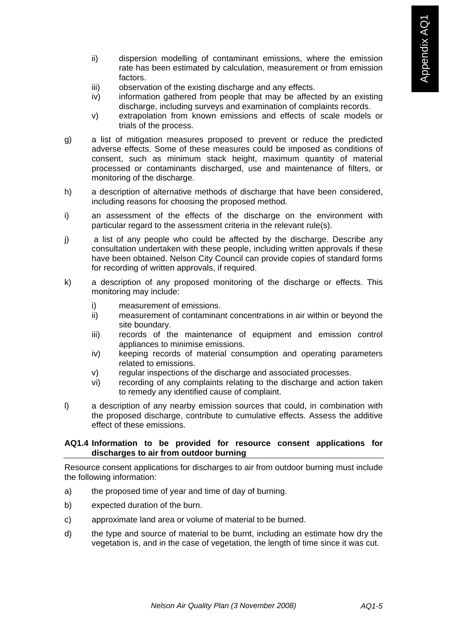- ii) dispersion modelling of contaminant emissions, where the emission rate has been estimated by calculation, measurement or from emission factors.
- iii) observation of the existing discharge and any effects.
- iv) information gathered from people that may be affected by an existing discharge, including surveys and examination of complaints records.
- v) extrapolation from known emissions and effects of scale models or trials of the process.
- g) a list of mitigation measures proposed to prevent or reduce the predicted adverse effects. Some of these measures could be imposed as conditions of consent, such as minimum stack height, maximum quantity of material processed or contaminants discharged, use and maintenance of filters, or monitoring of the discharge.
- h) a description of alternative methods of discharge that have been considered, including reasons for choosing the proposed method.
- i) an assessment of the effects of the discharge on the environment with particular regard to the assessment criteria in the relevant rule(s).
- j) a list of any people who could be affected by the discharge. Describe any consultation undertaken with these people, including written approvals if these have been obtained. Nelson City Council can provide copies of standard forms for recording of written approvals, if required.
- k) a description of any proposed monitoring of the discharge or effects. This monitoring may include:
	- i) measurement of emissions.
	- ii) measurement of contaminant concentrations in air within or beyond the site boundary.
	- iii) records of the maintenance of equipment and emission control appliances to minimise emissions.
	- iv) keeping records of material consumption and operating parameters related to emissions.
	- v) regular inspections of the discharge and associated processes.
	- vi) recording of any complaints relating to the discharge and action taken to remedy any identified cause of complaint.
- l) a description of any nearby emission sources that could, in combination with the proposed discharge, contribute to cumulative effects. Assess the additive effect of these emissions.

# **AQ1.4 Information to be provided for resource consent applications for discharges to air from outdoor burning**

Resource consent applications for discharges to air from outdoor burning must include the following information:

- a) the proposed time of year and time of day of burning.
- b) expected duration of the burn.
- c) approximate land area or volume of material to be burned.
- d) the type and source of material to be burnt, including an estimate how dry the vegetation is, and in the case of vegetation, the length of time since it was cut.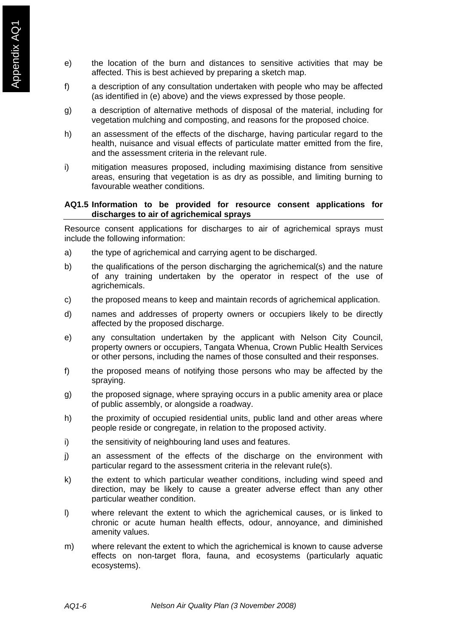- e) the location of the burn and distances to sensitive activities that may be affected. This is best achieved by preparing a sketch map.
- f) a description of any consultation undertaken with people who may be affected (as identified in (e) above) and the views expressed by those people.
- g) a description of alternative methods of disposal of the material, including for vegetation mulching and composting, and reasons for the proposed choice.
- h) an assessment of the effects of the discharge, having particular regard to the health, nuisance and visual effects of particulate matter emitted from the fire, and the assessment criteria in the relevant rule.
- i) mitigation measures proposed, including maximising distance from sensitive areas, ensuring that vegetation is as dry as possible, and limiting burning to favourable weather conditions.

### **AQ1.5 Information to be provided for resource consent applications for discharges to air of agrichemical sprays**

Resource consent applications for discharges to air of agrichemical sprays must include the following information:

- a) the type of agrichemical and carrying agent to be discharged.
- b) the qualifications of the person discharging the agrichemical(s) and the nature of any training undertaken by the operator in respect of the use of agrichemicals.
- c) the proposed means to keep and maintain records of agrichemical application.
- d) names and addresses of property owners or occupiers likely to be directly affected by the proposed discharge.
- e) any consultation undertaken by the applicant with Nelson City Council, property owners or occupiers, Tangata Whenua, Crown Public Health Services or other persons, including the names of those consulted and their responses.
- f) the proposed means of notifying those persons who may be affected by the spraying.
- g) the proposed signage, where spraying occurs in a public amenity area or place of public assembly, or alongside a roadway.
- h) the proximity of occupied residential units, public land and other areas where people reside or congregate, in relation to the proposed activity.
- i) the sensitivity of neighbouring land uses and features.
- j) an assessment of the effects of the discharge on the environment with particular regard to the assessment criteria in the relevant rule(s).
- k) the extent to which particular weather conditions, including wind speed and direction, may be likely to cause a greater adverse effect than any other particular weather condition.
- l) where relevant the extent to which the agrichemical causes, or is linked to chronic or acute human health effects, odour, annoyance, and diminished amenity values.
- m) where relevant the extent to which the agrichemical is known to cause adverse effects on non-target flora, fauna, and ecosystems (particularly aquatic ecosystems).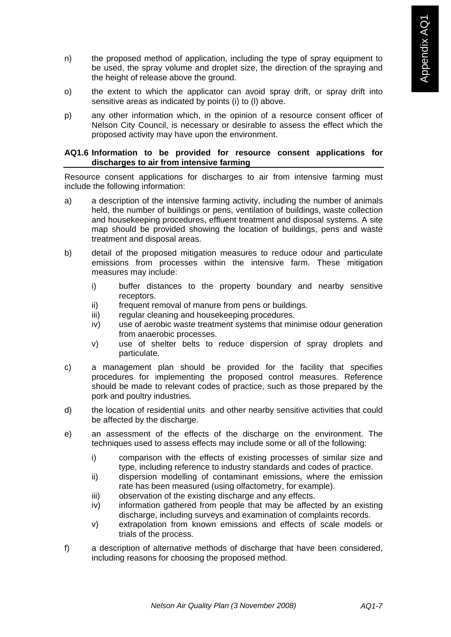- n) the proposed method of application, including the type of spray equipment to be used, the spray volume and droplet size, the direction of the spraying and the height of release above the ground.
- o) the extent to which the applicator can avoid spray drift, or spray drift into sensitive areas as indicated by points (i) to (l) above.
- p) any other information which, in the opinion of a resource consent officer of Nelson City Council, is necessary or desirable to assess the effect which the proposed activity may have upon the environment.

### **AQ1.6 Information to be provided for resource consent applications for discharges to air from intensive farming**

Resource consent applications for discharges to air from intensive farming must include the following information:

- a) a description of the intensive farming activity, including the number of animals held, the number of buildings or pens, ventilation of buildings, waste collection and housekeeping procedures, effluent treatment and disposal systems. A site map should be provided showing the location of buildings, pens and waste treatment and disposal areas.
- b) detail of the proposed mitigation measures to reduce odour and particulate emissions from processes within the intensive farm. These mitigation measures may include:
	- i) buffer distances to the property boundary and nearby sensitive receptors.
	- ii) frequent removal of manure from pens or buildings.
	- iii) regular cleaning and housekeeping procedures.
	- iv) use of aerobic waste treatment systems that minimise odour generation from anaerobic processes.
	- v) use of shelter belts to reduce dispersion of spray droplets and particulate.
- c) a management plan should be provided for the facility that specifies procedures for implementing the proposed control measures. Reference should be made to relevant codes of practice, such as those prepared by the pork and poultry industries.
- d) the location of residential units and other nearby sensitive activities that could be affected by the discharge.
- e) an assessment of the effects of the discharge on the environment. The techniques used to assess effects may include some or all of the following:
	- i) comparison with the effects of existing processes of similar size and type, including reference to industry standards and codes of practice.
	- ii) dispersion modelling of contaminant emissions, where the emission rate has been measured (using olfactometry, for example).
	- iii) observation of the existing discharge and any effects.
	- iv) information gathered from people that may be affected by an existing discharge, including surveys and examination of complaints records.
	- v) extrapolation from known emissions and effects of scale models or trials of the process.
- f) a description of alternative methods of discharge that have been considered, including reasons for choosing the proposed method.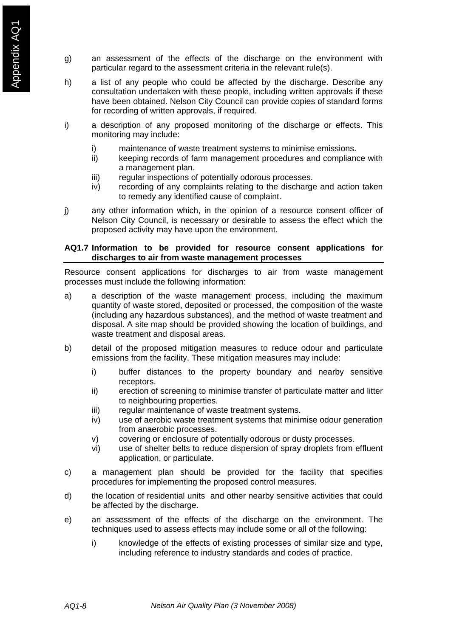- g) an assessment of the effects of the discharge on the environment with particular regard to the assessment criteria in the relevant rule(s).
- h) a list of any people who could be affected by the discharge. Describe any consultation undertaken with these people, including written approvals if these have been obtained. Nelson City Council can provide copies of standard forms for recording of written approvals, if required.
- i) a description of any proposed monitoring of the discharge or effects. This monitoring may include:
	- i) maintenance of waste treatment systems to minimise emissions.
	- ii) keeping records of farm management procedures and compliance with a management plan.
	- iii) regular inspections of potentially odorous processes.
	- iv) recording of any complaints relating to the discharge and action taken to remedy any identified cause of complaint.
- j) any other information which, in the opinion of a resource consent officer of Nelson City Council, is necessary or desirable to assess the effect which the proposed activity may have upon the environment.

# **AQ1.7 Information to be provided for resource consent applications for discharges to air from waste management processes**

Resource consent applications for discharges to air from waste management processes must include the following information:

- a) a description of the waste management process, including the maximum quantity of waste stored, deposited or processed, the composition of the waste (including any hazardous substances), and the method of waste treatment and disposal. A site map should be provided showing the location of buildings, and waste treatment and disposal areas.
- b) detail of the proposed mitigation measures to reduce odour and particulate emissions from the facility. These mitigation measures may include:
	- i) buffer distances to the property boundary and nearby sensitive receptors.
	- ii) erection of screening to minimise transfer of particulate matter and litter to neighbouring properties.
	- iii) regular maintenance of waste treatment systems.
	- iv) use of aerobic waste treatment systems that minimise odour generation from anaerobic processes.
	- v) covering or enclosure of potentially odorous or dusty processes.
	- vi) use of shelter belts to reduce dispersion of spray droplets from effluent application, or particulate.
- c) a management plan should be provided for the facility that specifies procedures for implementing the proposed control measures.
- d) the location of residential units and other nearby sensitive activities that could be affected by the discharge.
- e) an assessment of the effects of the discharge on the environment. The techniques used to assess effects may include some or all of the following:
	- i) knowledge of the effects of existing processes of similar size and type, including reference to industry standards and codes of practice.